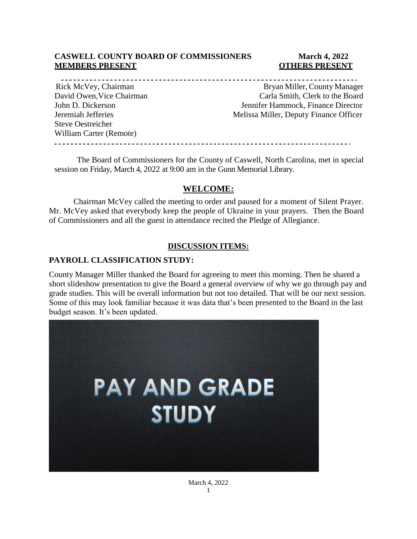### **CASWELL COUNTY BOARD OF COMMISSIONERS March 4, 2022 MEMBERS PRESENT COTHERS PRESENT**

Steve Oestreicher

William Carter (Remote)

Rick McVey, Chairman Bryan Miller, County Manager David Owen,Vice Chairman Carla Smith, Clerk to the Board

John D. Dickerson Jennifer Hammock, Finance Director Jeremiah Jefferies Melissa Miller, Deputy Finance Officer

------------------------

The Board of Commissioners for the County of Caswell, North Carolina, met in special session on Friday, March 4, 2022 at 9:00 am in the Gunn Memorial Library.

## **WELCOME:**

Chairman McVey called the meeting to order and paused for a moment of Silent Prayer. Mr. McVey asked that everybody keep the people of Ukraine in your prayers. Then the Board of Commissioners and all the guest in attendance recited the Pledge of Allegiance.

### **DISCUSSION ITEMS:**

### **PAYROLL CLASSIFICATION STUDY:**

County Manager Miller thanked the Board for agreeing to meet this morning. Then he shared a short slideshow presentation to give the Board a general overview of why we go through pay and grade studies. This will be overall information but not too detailed. That will be our next session. Some of this may look familiar because it was data that's been presented to the Board in the last budget season. It's been updated.



March 4, 2022 1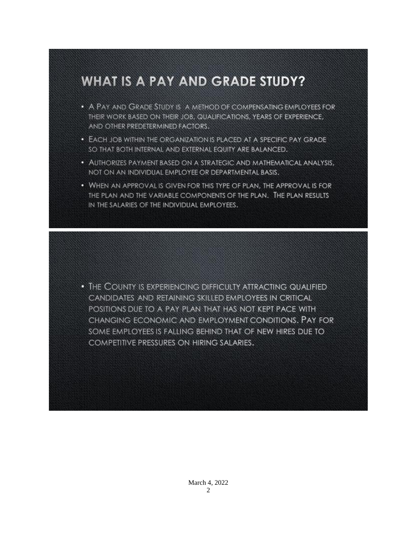# **WHAT IS A PAY AND GRADE STUDY?**

- A PAY AND GRADE STUDY IS A METHOD OF COMPENSATING EMPLOYEES FOR THEIR WORK BASED ON THEIR JOB, QUALIFICATIONS, YEARS OF EXPERIENCE, AND OTHER PREDETERMINED FACTORS.
- EACH JOB WITHIN THE ORGANIZATION IS PLACED AT A SPECIFIC PAY GRADE SO THAT BOTH INTERNAL AND EXTERNAL EQUITY ARE BALANCED.
- AUTHORIZES PAYMENT BASED ON A STRATEGIC AND MATHEMATICAL ANALYSIS. NOT ON AN INDIVIDUAL EMPLOYEE OR DEPARTMENTAL BASIS.
- WHEN AN APPROVAL IS GIVEN FOR THIS TYPE OF PLAN, THE APPROVAL IS FOR THE PLAN AND THE VARIABLE COMPONENTS OF THE PLAN. THE PLAN RESULTS IN THE SALARIES OF THE INDIVIDUAL EMPLOYEES.

• THE COUNTY IS EXPERIENCING DIFFICULTY ATTRACTING QUALIFIED CANDIDATES AND RETAINING SKILLED EMPLOYEES IN CRITICAL POSITIONS DUE TO A PAY PLAN THAT HAS NOT KEPT PACE WITH CHANGING ECONOMIC AND EMPLOYMENT CONDITIONS. PAY FOR SOME EMPLOYEES IS FALLING BEHIND THAT OF NEW HIRES DUE TO COMPETITIVE PRESSURES ON HIRING SALARIES.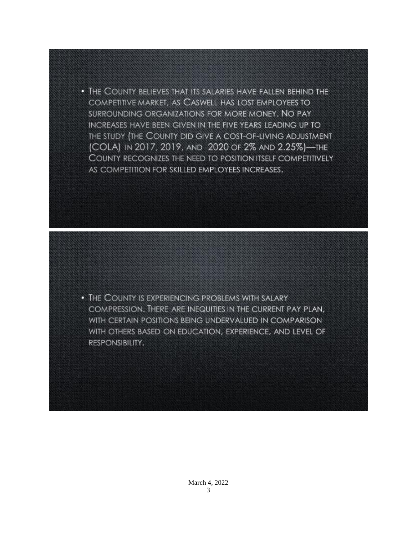• THE COUNTY BELIEVES THAT ITS SALARIES HAVE FALLEN BEHIND THE COMPETITIVE MARKET, AS CASWELL HAS LOST EMPLOYEES TO SURROUNDING ORGANIZATIONS FOR MORE MONEY. NO PAY INCREASES HAVE BEEN GIVEN IN THE FIVE YEARS LEADING UP TO THE STUDY (THE COUNTY DID GIVE A COST-OF-LIVING ADJUSTMENT (COLA) IN 2017, 2019, AND 2020 OF 2% AND 2.25%)-THE COUNTY RECOGNIZES THE NEED TO POSITION ITSELF COMPETITIVELY AS COMPETITION FOR SKILLED EMPLOYEES INCREASES.

• THE COUNTY IS EXPERIENCING PROBLEMS WITH SALARY COMPRESSION. THERE ARE INEQUITIES IN THE CURRENT PAY PLAN, WITH CERTAIN POSITIONS BEING UNDERVALUED IN COMPARISON WITH OTHERS BASED ON EDUCATION, EXPERIENCE, AND LEVEL OF RESPONSIBILITY.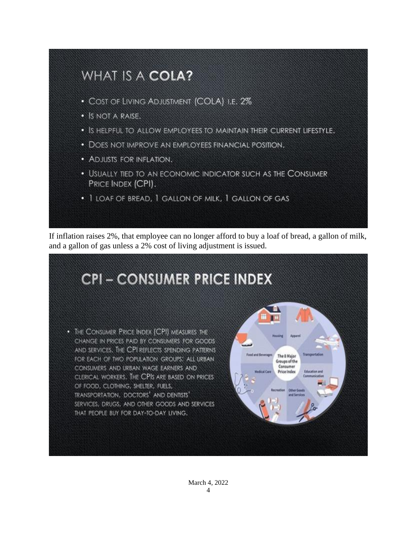

If inflation raises 2%, that employee can no longer afford to buy a loaf of bread, a gallon of milk, and a gallon of gas unless a 2% cost of living adjustment is issued.

# **CPI-CONSUMER PRICE INDEX**

. THE CONSUMER PRICE INDEX (CPI) MEASURES THE CHANGE IN PRICES PAID BY CONSUMERS FOR GOODS AND SERVICES. THE CPI REFLECTS SPENDING PATTERNS FOR EACH OF TWO POPULATION GROUPS: ALL URBAN CONSUMERS AND URBAN WAGE EARNERS AND CLERICAL WORKERS. THE CPIS ARE BASED ON PRICES OF FOOD, CLOTHING, SHELTER, FUELS, TRANSPORTATION, DOCTORS' AND DENTISTS' SERVICES, DRUGS, AND OTHER GOODS AND SERVICES THAT PEOPLE BUY FOR DAY-TO-DAY LIVING.

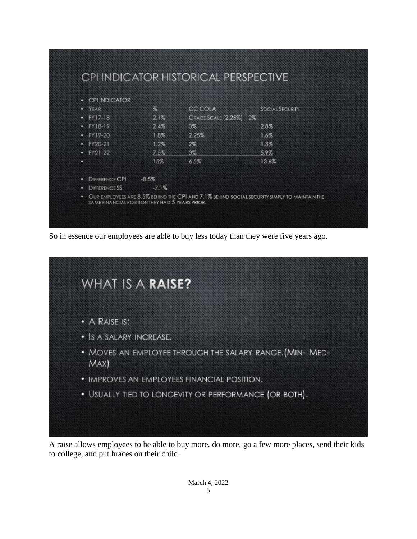| • CPHNDICATOR    |         |                        |                        |
|------------------|---------|------------------------|------------------------|
| $\bullet$ YEAR   | $\%$    | <b>CC COLA</b>         | <b>SOCIAL SECURITY</b> |
| $\cdot$ FY17-18  | 2.1%    | GRADE SCALE (2.25%) 2% |                        |
| $-FY18-19$       | 2.4%    | 0%                     | 2.8%                   |
| $-FY19-20$       | 1.8%    | 2.25%                  | 1.6%                   |
| $\cdot$ FY20-21  | 1.2%    | 2%                     | 1.3%                   |
| $\cdot$ FY21-22  | 7.5%    | 0%                     | 5.9%                   |
| O                | 15%     | 6.5%                   | 13.6%                  |
| • DIFFERENCE CPI | $-8.5%$ |                        |                        |
| • DIFFERENCE SS  | $-7.1%$ |                        |                        |

So in essence our employees are able to buy less today than they were five years ago.

|      | • A RAISE IS:                                            |
|------|----------------------------------------------------------|
|      | · IS A SALARY INCREASE.                                  |
| MAX) | . MOVES AN EMPLOYEE THROUGH THE SALARY RANGE. (MIN- MED- |
|      | • IMPROVES AN EMPLOYEES FINANCIAL POSITION.              |
|      | • USUALLY TIED TO LONGEVITY OR PERFORMANCE (OR BOTH).    |

A raise allows employees to be able to buy more, do more, go a few more places, send their kids to college, and put braces on their child.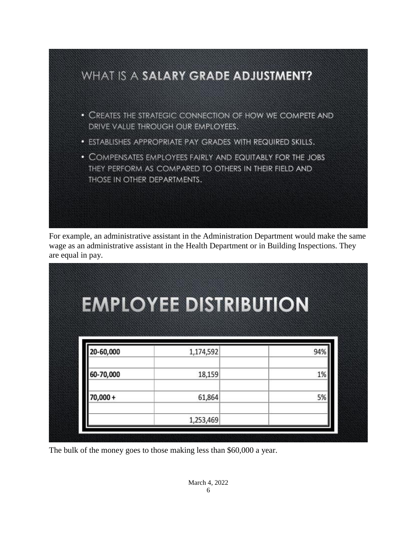

For example, an administrative assistant in the Administration Department would make the same wage as an administrative assistant in the Health Department or in Building Inspections. They are equal in pay.

| <b>EMPLOYEE DISTRIBUTION</b> |
|------------------------------|
|                              |
|                              |
| 94%                          |
| 1%                           |
| 5%                           |
|                              |

The bulk of the money goes to those making less than \$60,000 a year.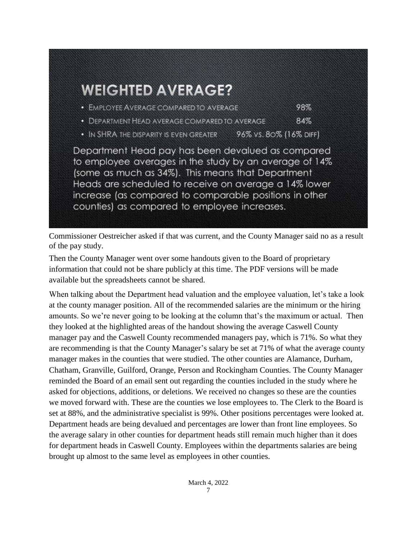

Commissioner Oestreicher asked if that was current, and the County Manager said no as a result of the pay study.

Then the County Manager went over some handouts given to the Board of proprietary information that could not be share publicly at this time. The PDF versions will be made available but the spreadsheets cannot be shared.

When talking about the Department head valuation and the employee valuation, let's take a look at the county manager position. All of the recommended salaries are the minimum or the hiring amounts. So we're never going to be looking at the column that's the maximum or actual. Then they looked at the highlighted areas of the handout showing the average Caswell County manager pay and the Caswell County recommended managers pay, which is 71%. So what they are recommending is that the County Manager's salary be set at 71% of what the average county manager makes in the counties that were studied. The other counties are Alamance, Durham, Chatham, Granville, Guilford, Orange, Person and Rockingham Counties. The County Manager reminded the Board of an email sent out regarding the counties included in the study where he asked for objections, additions, or deletions. We received no changes so these are the counties we moved forward with. These are the counties we lose employees to. The Clerk to the Board is set at 88%, and the administrative specialist is 99%. Other positions percentages were looked at. Department heads are being devalued and percentages are lower than front line employees. So the average salary in other counties for department heads still remain much higher than it does for department heads in Caswell County. Employees within the departments salaries are being brought up almost to the same level as employees in other counties.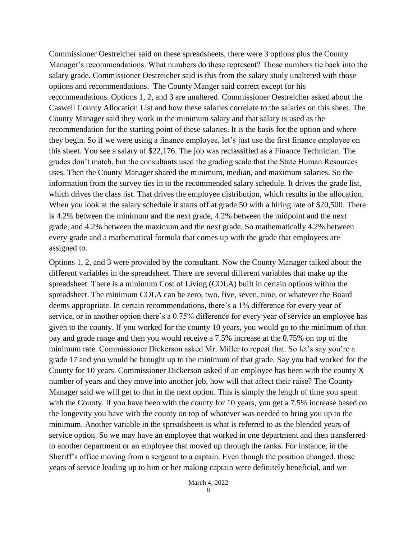Commissioner Oestreicher said on these spreadsheets, there were 3 options plus the County Manager's recommendations. What numbers do these represent? Those numbers tie back into the salary grade. Commissioner Oestreicher said is this from the salary study unaltered with those options and recommendations. The County Manger said correct except for his recommendations. Options 1, 2, and 3 are unaltered. Commissioner Oestreicher asked about the Caswell County Allocation List and how these salaries correlate to the salaries on this sheet. The County Manager said they work in the minimum salary and that salary is used as the recommendation for the starting point of these salaries. It is the basis for the option and where they begin. So if we were using a finance employee, let's just use the first finance employee on this sheet. You see a salary of \$22,176. The job was reclassified as a Finance Technician. The grades don't match, but the consultants used the grading scale that the State Human Resources uses. Then the County Manager shared the minimum, median, and maximum salaries. So the information from the survey ties in to the recommended salary schedule. It drives the grade list, which drives the class list. That drives the employee distribution, which results in the allocation. When you look at the salary schedule it starts off at grade 50 with a hiring rate of \$20,500. There is 4.2% between the minimum and the next grade, 4.2% between the midpoint and the next grade, and 4.2% between the maximum and the next grade. So mathematically 4.2% between every grade and a mathematical formula that comes up with the grade that employees are assigned to.

Options 1, 2, and 3 were provided by the consultant. Now the County Manager talked about the different variables in the spreadsheet. There are several different variables that make up the spreadsheet. There is a minimum Cost of Living (COLA) built in certain options within the spreadsheet. The minimum COLA can be zero, two, five, seven, nine, or whatever the Board deems appropriate. In certain recommendations, there's a 1% difference for every year of service, or in another option there's a 0.75% difference for every year of service an employee has given to the county. If you worked for the county 10 years, you would go to the minimum of that pay and grade range and then you would receive a 7.5% increase at the 0.75% on top of the minimum rate. Commissioner Dickerson asked Mr. Miller to repeat that. So let's say you're a grade 17 and you would be brought up to the minimum of that grade. Say you had worked for the County for 10 years. Commissioner Dickerson asked if an employee has been with the county X number of years and they move into another job, how will that affect their raise? The County Manager said we will get to that in the next option. This is simply the length of time you spent with the County. If you have been with the county for 10 years, you get a 7.5% increase based on the longevity you have with the county on top of whatever was needed to bring you up to the minimum. Another variable in the spreadsheets is what is referred to as the blended years of service option. So we may have an employee that worked in one department and then transferred to another department or an employee that moved up through the ranks. For instance, in the Sheriff's office moving from a sergeant to a captain. Even though the position changed, those years of service leading up to him or her making captain were definitely beneficial, and we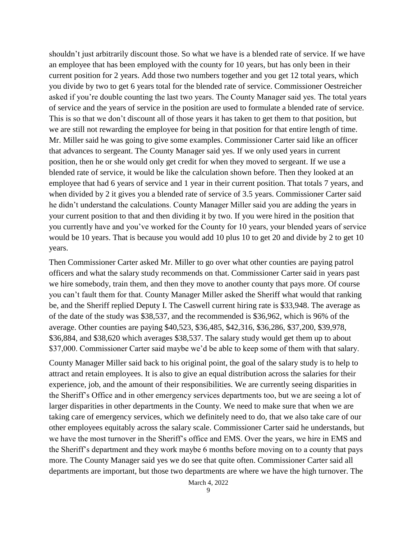shouldn't just arbitrarily discount those. So what we have is a blended rate of service. If we have an employee that has been employed with the county for 10 years, but has only been in their current position for 2 years. Add those two numbers together and you get 12 total years, which you divide by two to get 6 years total for the blended rate of service. Commissioner Oestreicher asked if you're double counting the last two years. The County Manager said yes. The total years of service and the years of service in the position are used to formulate a blended rate of service. This is so that we don't discount all of those years it has taken to get them to that position, but we are still not rewarding the employee for being in that position for that entire length of time. Mr. Miller said he was going to give some examples. Commissioner Carter said like an officer that advances to sergeant. The County Manager said yes. If we only used years in current position, then he or she would only get credit for when they moved to sergeant. If we use a blended rate of service, it would be like the calculation shown before. Then they looked at an employee that had 6 years of service and 1 year in their current position. That totals 7 years, and when divided by 2 it gives you a blended rate of service of 3.5 years. Commissioner Carter said he didn't understand the calculations. County Manager Miller said you are adding the years in your current position to that and then dividing it by two. If you were hired in the position that you currently have and you've worked for the County for 10 years, your blended years of service would be 10 years. That is because you would add 10 plus 10 to get 20 and divide by 2 to get 10 years.

Then Commissioner Carter asked Mr. Miller to go over what other counties are paying patrol officers and what the salary study recommends on that. Commissioner Carter said in years past we hire somebody, train them, and then they move to another county that pays more. Of course you can't fault them for that. County Manager Miller asked the Sheriff what would that ranking be, and the Sheriff replied Deputy I. The Caswell current hiring rate is \$33,948. The average as of the date of the study was \$38,537, and the recommended is \$36,962, which is 96% of the average. Other counties are paying \$40,523, \$36,485, \$42,316, \$36,286, \$37,200, \$39,978, \$36,884, and \$38,620 which averages \$38,537. The salary study would get them up to about \$37,000. Commissioner Carter said maybe we'd be able to keep some of them with that salary.

County Manager Miller said back to his original point, the goal of the salary study is to help to attract and retain employees. It is also to give an equal distribution across the salaries for their experience, job, and the amount of their responsibilities. We are currently seeing disparities in the Sheriff's Office and in other emergency services departments too, but we are seeing a lot of larger disparities in other departments in the County. We need to make sure that when we are taking care of emergency services, which we definitely need to do, that we also take care of our other employees equitably across the salary scale. Commissioner Carter said he understands, but we have the most turnover in the Sheriff's office and EMS. Over the years, we hire in EMS and the Sheriff's department and they work maybe 6 months before moving on to a county that pays more. The County Manager said yes we do see that quite often. Commissioner Carter said all departments are important, but those two departments are where we have the high turnover. The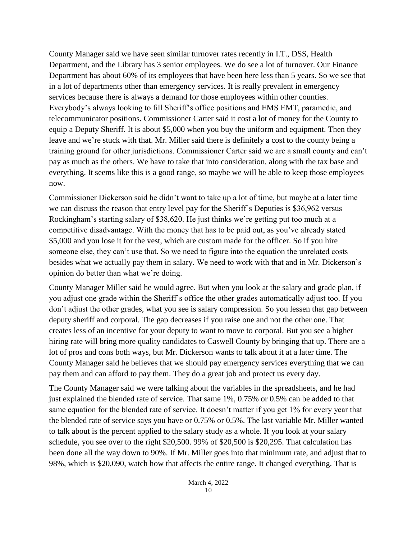County Manager said we have seen similar turnover rates recently in I.T., DSS, Health Department, and the Library has 3 senior employees. We do see a lot of turnover. Our Finance Department has about 60% of its employees that have been here less than 5 years. So we see that in a lot of departments other than emergency services. It is really prevalent in emergency services because there is always a demand for those employees within other counties. Everybody's always looking to fill Sheriff's office positions and EMS EMT, paramedic, and telecommunicator positions. Commissioner Carter said it cost a lot of money for the County to equip a Deputy Sheriff. It is about \$5,000 when you buy the uniform and equipment. Then they leave and we're stuck with that. Mr. Miller said there is definitely a cost to the county being a training ground for other jurisdictions. Commissioner Carter said we are a small county and can't pay as much as the others. We have to take that into consideration, along with the tax base and everything. It seems like this is a good range, so maybe we will be able to keep those employees now.

Commissioner Dickerson said he didn't want to take up a lot of time, but maybe at a later time we can discuss the reason that entry level pay for the Sheriff's Deputies is \$36,962 versus Rockingham's starting salary of \$38,620. He just thinks we're getting put too much at a competitive disadvantage. With the money that has to be paid out, as you've already stated \$5,000 and you lose it for the vest, which are custom made for the officer. So if you hire someone else, they can't use that. So we need to figure into the equation the unrelated costs besides what we actually pay them in salary. We need to work with that and in Mr. Dickerson's opinion do better than what we're doing.

County Manager Miller said he would agree. But when you look at the salary and grade plan, if you adjust one grade within the Sheriff's office the other grades automatically adjust too. If you don't adjust the other grades, what you see is salary compression. So you lessen that gap between deputy sheriff and corporal. The gap decreases if you raise one and not the other one. That creates less of an incentive for your deputy to want to move to corporal. But you see a higher hiring rate will bring more quality candidates to Caswell County by bringing that up. There are a lot of pros and cons both ways, but Mr. Dickerson wants to talk about it at a later time. The County Manager said he believes that we should pay emergency services everything that we can pay them and can afford to pay them. They do a great job and protect us every day.

The County Manager said we were talking about the variables in the spreadsheets, and he had just explained the blended rate of service. That same 1%, 0.75% or 0.5% can be added to that same equation for the blended rate of service. It doesn't matter if you get 1% for every year that the blended rate of service says you have or 0.75% or 0.5%. The last variable Mr. Miller wanted to talk about is the percent applied to the salary study as a whole. If you look at your salary schedule, you see over to the right \$20,500. 99% of \$20,500 is \$20,295. That calculation has been done all the way down to 90%. If Mr. Miller goes into that minimum rate, and adjust that to 98%, which is \$20,090, watch how that affects the entire range. It changed everything. That is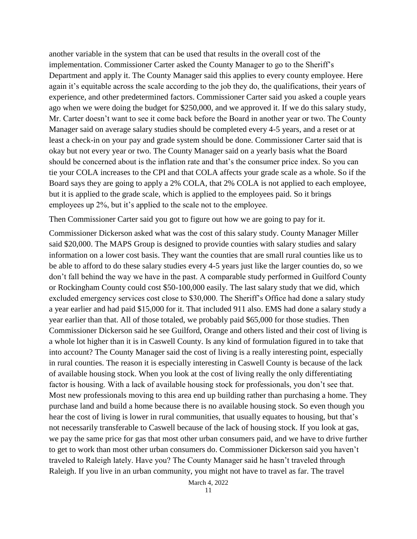another variable in the system that can be used that results in the overall cost of the implementation. Commissioner Carter asked the County Manager to go to the Sheriff's Department and apply it. The County Manager said this applies to every county employee. Here again it's equitable across the scale according to the job they do, the qualifications, their years of experience, and other predetermined factors. Commissioner Carter said you asked a couple years ago when we were doing the budget for \$250,000, and we approved it. If we do this salary study, Mr. Carter doesn't want to see it come back before the Board in another year or two. The County Manager said on average salary studies should be completed every 4-5 years, and a reset or at least a check-in on your pay and grade system should be done. Commissioner Carter said that is okay but not every year or two. The County Manager said on a yearly basis what the Board should be concerned about is the inflation rate and that's the consumer price index. So you can tie your COLA increases to the CPI and that COLA affects your grade scale as a whole. So if the Board says they are going to apply a 2% COLA, that 2% COLA is not applied to each employee, but it is applied to the grade scale, which is applied to the employees paid. So it brings employees up 2%, but it's applied to the scale not to the employee.

Then Commissioner Carter said you got to figure out how we are going to pay for it.

Commissioner Dickerson asked what was the cost of this salary study. County Manager Miller said \$20,000. The MAPS Group is designed to provide counties with salary studies and salary information on a lower cost basis. They want the counties that are small rural counties like us to be able to afford to do these salary studies every 4-5 years just like the larger counties do, so we don't fall behind the way we have in the past. A comparable study performed in Guilford County or Rockingham County could cost \$50-100,000 easily. The last salary study that we did, which excluded emergency services cost close to \$30,000. The Sheriff's Office had done a salary study a year earlier and had paid \$15,000 for it. That included 911 also. EMS had done a salary study a year earlier than that. All of those totaled, we probably paid \$65,000 for those studies. Then Commissioner Dickerson said he see Guilford, Orange and others listed and their cost of living is a whole lot higher than it is in Caswell County. Is any kind of formulation figured in to take that into account? The County Manager said the cost of living is a really interesting point, especially in rural counties. The reason it is especially interesting in Caswell County is because of the lack of available housing stock. When you look at the cost of living really the only differentiating factor is housing. With a lack of available housing stock for professionals, you don't see that. Most new professionals moving to this area end up building rather than purchasing a home. They purchase land and build a home because there is no available housing stock. So even though you hear the cost of living is lower in rural communities, that usually equates to housing, but that's not necessarily transferable to Caswell because of the lack of housing stock. If you look at gas, we pay the same price for gas that most other urban consumers paid, and we have to drive further to get to work than most other urban consumers do. Commissioner Dickerson said you haven't traveled to Raleigh lately. Have you? The County Manager said he hasn't traveled through Raleigh. If you live in an urban community, you might not have to travel as far. The travel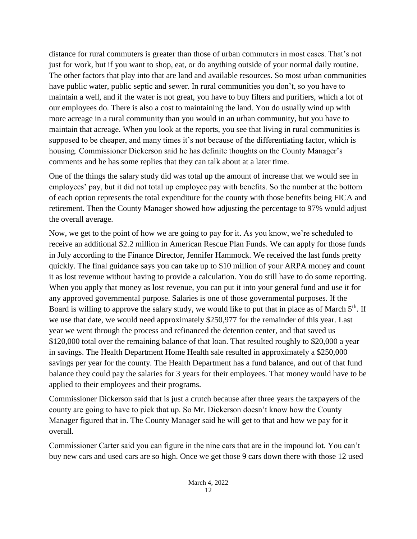distance for rural commuters is greater than those of urban commuters in most cases. That's not just for work, but if you want to shop, eat, or do anything outside of your normal daily routine. The other factors that play into that are land and available resources. So most urban communities have public water, public septic and sewer. In rural communities you don't, so you have to maintain a well, and if the water is not great, you have to buy filters and purifiers, which a lot of our employees do. There is also a cost to maintaining the land. You do usually wind up with more acreage in a rural community than you would in an urban community, but you have to maintain that acreage. When you look at the reports, you see that living in rural communities is supposed to be cheaper, and many times it's not because of the differentiating factor, which is housing. Commissioner Dickerson said he has definite thoughts on the County Manager's comments and he has some replies that they can talk about at a later time.

One of the things the salary study did was total up the amount of increase that we would see in employees' pay, but it did not total up employee pay with benefits. So the number at the bottom of each option represents the total expenditure for the county with those benefits being FICA and retirement. Then the County Manager showed how adjusting the percentage to 97% would adjust the overall average.

Now, we get to the point of how we are going to pay for it. As you know, we're scheduled to receive an additional \$2.2 million in American Rescue Plan Funds. We can apply for those funds in July according to the Finance Director, Jennifer Hammock. We received the last funds pretty quickly. The final guidance says you can take up to \$10 million of your ARPA money and count it as lost revenue without having to provide a calculation. You do still have to do some reporting. When you apply that money as lost revenue, you can put it into your general fund and use it for any approved governmental purpose. Salaries is one of those governmental purposes. If the Board is willing to approve the salary study, we would like to put that in place as of March 5<sup>th</sup>. If we use that date, we would need approximately \$250,977 for the remainder of this year. Last year we went through the process and refinanced the detention center, and that saved us \$120,000 total over the remaining balance of that loan. That resulted roughly to \$20,000 a year in savings. The Health Department Home Health sale resulted in approximately a \$250,000 savings per year for the county. The Health Department has a fund balance, and out of that fund balance they could pay the salaries for 3 years for their employees. That money would have to be applied to their employees and their programs.

Commissioner Dickerson said that is just a crutch because after three years the taxpayers of the county are going to have to pick that up. So Mr. Dickerson doesn't know how the County Manager figured that in. The County Manager said he will get to that and how we pay for it overall.

Commissioner Carter said you can figure in the nine cars that are in the impound lot. You can't buy new cars and used cars are so high. Once we get those 9 cars down there with those 12 used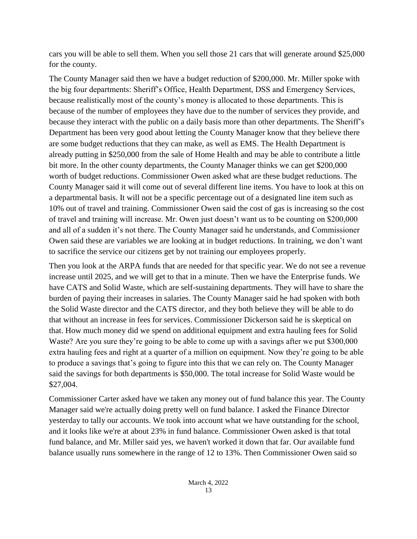cars you will be able to sell them. When you sell those 21 cars that will generate around \$25,000 for the county.

The County Manager said then we have a budget reduction of \$200,000. Mr. Miller spoke with the big four departments: Sheriff's Office, Health Department, DSS and Emergency Services, because realistically most of the county's money is allocated to those departments. This is because of the number of employees they have due to the number of services they provide, and because they interact with the public on a daily basis more than other departments. The Sheriff's Department has been very good about letting the County Manager know that they believe there are some budget reductions that they can make, as well as EMS. The Health Department is already putting in \$250,000 from the sale of Home Health and may be able to contribute a little bit more. In the other county departments, the County Manager thinks we can get \$200,000 worth of budget reductions. Commissioner Owen asked what are these budget reductions. The County Manager said it will come out of several different line items. You have to look at this on a departmental basis. It will not be a specific percentage out of a designated line item such as 10% out of travel and training. Commissioner Owen said the cost of gas is increasing so the cost of travel and training will increase. Mr. Owen just doesn't want us to be counting on \$200,000 and all of a sudden it's not there. The County Manager said he understands, and Commissioner Owen said these are variables we are looking at in budget reductions. In training, we don't want to sacrifice the service our citizens get by not training our employees properly.

Then you look at the ARPA funds that are needed for that specific year. We do not see a revenue increase until 2025, and we will get to that in a minute. Then we have the Enterprise funds. We have CATS and Solid Waste, which are self-sustaining departments. They will have to share the burden of paying their increases in salaries. The County Manager said he had spoken with both the Solid Waste director and the CATS director, and they both believe they will be able to do that without an increase in fees for services. Commissioner Dickerson said he is skeptical on that. How much money did we spend on additional equipment and extra hauling fees for Solid Waste? Are you sure they're going to be able to come up with a savings after we put \$300,000 extra hauling fees and right at a quarter of a million on equipment. Now they're going to be able to produce a savings that's going to figure into this that we can rely on. The County Manager said the savings for both departments is \$50,000. The total increase for Solid Waste would be \$27,004.

Commissioner Carter asked have we taken any money out of fund balance this year. The County Manager said we're actually doing pretty well on fund balance. I asked the Finance Director yesterday to tally our accounts. We took into account what we have outstanding for the school, and it looks like we're at about 23% in fund balance. Commissioner Owen asked is that total fund balance, and Mr. Miller said yes, we haven't worked it down that far. Our available fund balance usually runs somewhere in the range of 12 to 13%. Then Commissioner Owen said so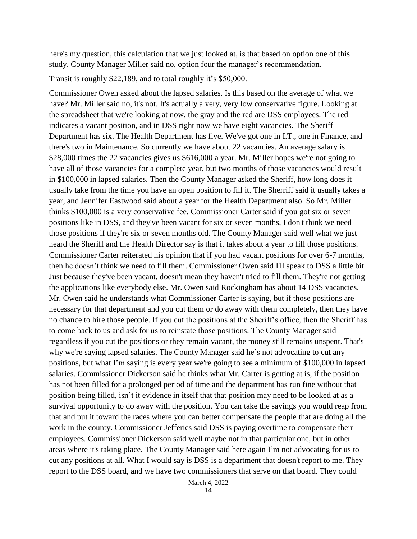here's my question, this calculation that we just looked at, is that based on option one of this study. County Manager Miller said no, option four the manager's recommendation.

Transit is roughly \$22,189, and to total roughly it's \$50,000.

Commissioner Owen asked about the lapsed salaries. Is this based on the average of what we have? Mr. Miller said no, it's not. It's actually a very, very low conservative figure. Looking at the spreadsheet that we're looking at now, the gray and the red are DSS employees. The red indicates a vacant position, and in DSS right now we have eight vacancies. The Sheriff Department has six. The Health Department has five. We've got one in I.T., one in Finance, and there's two in Maintenance. So currently we have about 22 vacancies. An average salary is \$28,000 times the 22 vacancies gives us \$616,000 a year. Mr. Miller hopes we're not going to have all of those vacancies for a complete year, but two months of those vacancies would result in \$100,000 in lapsed salaries. Then the County Manager asked the Sheriff, how long does it usually take from the time you have an open position to fill it. The Sherriff said it usually takes a year, and Jennifer Eastwood said about a year for the Health Department also. So Mr. Miller thinks \$100,000 is a very conservative fee. Commissioner Carter said if you got six or seven positions like in DSS, and they've been vacant for six or seven months, I don't think we need those positions if they're six or seven months old. The County Manager said well what we just heard the Sheriff and the Health Director say is that it takes about a year to fill those positions. Commissioner Carter reiterated his opinion that if you had vacant positions for over 6-7 months, then he doesn't think we need to fill them. Commissioner Owen said I'll speak to DSS a little bit. Just because they've been vacant, doesn't mean they haven't tried to fill them. They're not getting the applications like everybody else. Mr. Owen said Rockingham has about 14 DSS vacancies. Mr. Owen said he understands what Commissioner Carter is saying, but if those positions are necessary for that department and you cut them or do away with them completely, then they have no chance to hire those people. If you cut the positions at the Sheriff's office, then the Sheriff has to come back to us and ask for us to reinstate those positions. The County Manager said regardless if you cut the positions or they remain vacant, the money still remains unspent. That's why we're saying lapsed salaries. The County Manager said he's not advocating to cut any positions, but what I'm saying is every year we're going to see a minimum of \$100,000 in lapsed salaries. Commissioner Dickerson said he thinks what Mr. Carter is getting at is, if the position has not been filled for a prolonged period of time and the department has run fine without that position being filled, isn't it evidence in itself that that position may need to be looked at as a survival opportunity to do away with the position. You can take the savings you would reap from that and put it toward the races where you can better compensate the people that are doing all the work in the county. Commissioner Jefferies said DSS is paying overtime to compensate their employees. Commissioner Dickerson said well maybe not in that particular one, but in other areas where it's taking place. The County Manager said here again I'm not advocating for us to cut any positions at all. What I would say is DSS is a department that doesn't report to me. They report to the DSS board, and we have two commissioners that serve on that board. They could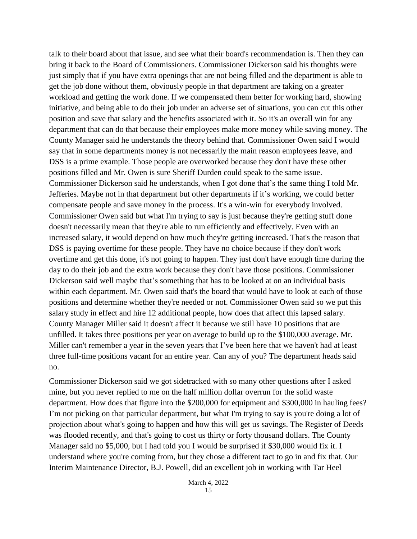talk to their board about that issue, and see what their board's recommendation is. Then they can bring it back to the Board of Commissioners. Commissioner Dickerson said his thoughts were just simply that if you have extra openings that are not being filled and the department is able to get the job done without them, obviously people in that department are taking on a greater workload and getting the work done. If we compensated them better for working hard, showing initiative, and being able to do their job under an adverse set of situations, you can cut this other position and save that salary and the benefits associated with it. So it's an overall win for any department that can do that because their employees make more money while saving money. The County Manager said he understands the theory behind that. Commissioner Owen said I would say that in some departments money is not necessarily the main reason employees leave, and DSS is a prime example. Those people are overworked because they don't have these other positions filled and Mr. Owen is sure Sheriff Durden could speak to the same issue. Commissioner Dickerson said he understands, when I got done that's the same thing I told Mr. Jefferies. Maybe not in that department but other departments if it's working, we could better compensate people and save money in the process. It's a win-win for everybody involved. Commissioner Owen said but what I'm trying to say is just because they're getting stuff done doesn't necessarily mean that they're able to run efficiently and effectively. Even with an increased salary, it would depend on how much they're getting increased. That's the reason that DSS is paying overtime for these people. They have no choice because if they don't work overtime and get this done, it's not going to happen. They just don't have enough time during the day to do their job and the extra work because they don't have those positions. Commissioner Dickerson said well maybe that's something that has to be looked at on an individual basis within each department. Mr. Owen said that's the board that would have to look at each of those positions and determine whether they're needed or not. Commissioner Owen said so we put this salary study in effect and hire 12 additional people, how does that affect this lapsed salary. County Manager Miller said it doesn't affect it because we still have 10 positions that are unfilled. It takes three positions per year on average to build up to the \$100,000 average. Mr. Miller can't remember a year in the seven years that I've been here that we haven't had at least three full-time positions vacant for an entire year. Can any of you? The department heads said no.

Commissioner Dickerson said we got sidetracked with so many other questions after I asked mine, but you never replied to me on the half million dollar overrun for the solid waste department. How does that figure into the \$200,000 for equipment and \$300,000 in hauling fees? I'm not picking on that particular department, but what I'm trying to say is you're doing a lot of projection about what's going to happen and how this will get us savings. The Register of Deeds was flooded recently, and that's going to cost us thirty or forty thousand dollars. The County Manager said no \$5,000, but I had told you I would be surprised if \$30,000 would fix it. I understand where you're coming from, but they chose a different tact to go in and fix that. Our Interim Maintenance Director, B.J. Powell, did an excellent job in working with Tar Heel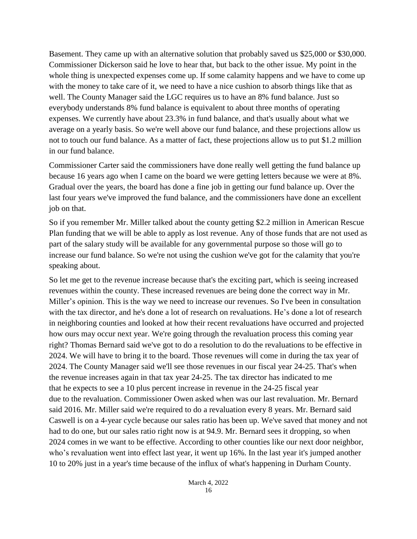Basement. They came up with an alternative solution that probably saved us \$25,000 or \$30,000. Commissioner Dickerson said he love to hear that, but back to the other issue. My point in the whole thing is unexpected expenses come up. If some calamity happens and we have to come up with the money to take care of it, we need to have a nice cushion to absorb things like that as well. The County Manager said the LGC requires us to have an 8% fund balance. Just so everybody understands 8% fund balance is equivalent to about three months of operating expenses. We currently have about 23.3% in fund balance, and that's usually about what we average on a yearly basis. So we're well above our fund balance, and these projections allow us not to touch our fund balance. As a matter of fact, these projections allow us to put \$1.2 million in our fund balance.

Commissioner Carter said the commissioners have done really well getting the fund balance up because 16 years ago when I came on the board we were getting letters because we were at 8%. Gradual over the years, the board has done a fine job in getting our fund balance up. Over the last four years we've improved the fund balance, and the commissioners have done an excellent job on that.

So if you remember Mr. Miller talked about the county getting \$2.2 million in American Rescue Plan funding that we will be able to apply as lost revenue. Any of those funds that are not used as part of the salary study will be available for any governmental purpose so those will go to increase our fund balance. So we're not using the cushion we've got for the calamity that you're speaking about.

So let me get to the revenue increase because that's the exciting part, which is seeing increased revenues within the county. These increased revenues are being done the correct way in Mr. Miller's opinion. This is the way we need to increase our revenues. So I've been in consultation with the tax director, and he's done a lot of research on revaluations. He's done a lot of research in neighboring counties and looked at how their recent revaluations have occurred and projected how ours may occur next year. We're going through the revaluation process this coming year right? Thomas Bernard said we've got to do a resolution to do the revaluations to be effective in 2024. We will have to bring it to the board. Those revenues will come in during the tax year of 2024. The County Manager said we'll see those revenues in our fiscal year 24-25. That's when the revenue increases again in that tax year 24-25. The tax director has indicated to me that he expects to see a 10 plus percent increase in revenue in the 24-25 fiscal year due to the revaluation. Commissioner Owen asked when was our last revaluation. Mr. Bernard said 2016. Mr. Miller said we're required to do a revaluation every 8 years. Mr. Bernard said Caswell is on a 4-year cycle because our sales ratio has been up. We've saved that money and not had to do one, but our sales ratio right now is at 94.9. Mr. Bernard sees it dropping, so when 2024 comes in we want to be effective. According to other counties like our next door neighbor, who's revaluation went into effect last year, it went up 16%. In the last year it's jumped another 10 to 20% just in a year's time because of the influx of what's happening in Durham County.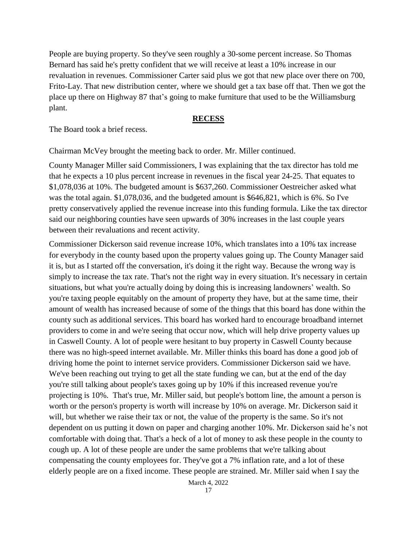People are buying property. So they've seen roughly a 30-some percent increase. So Thomas Bernard has said he's pretty confident that we will receive at least a 10% increase in our revaluation in revenues. Commissioner Carter said plus we got that new place over there on 700, Frito-Lay. That new distribution center, where we should get a tax base off that. Then we got the place up there on Highway 87 that's going to make furniture that used to be the Williamsburg plant.

#### **RECESS**

The Board took a brief recess.

Chairman McVey brought the meeting back to order. Mr. Miller continued.

County Manager Miller said Commissioners, I was explaining that the tax director has told me that he expects a 10 plus percent increase in revenues in the fiscal year 24-25. That equates to \$1,078,036 at 10%. The budgeted amount is \$637,260. Commissioner Oestreicher asked what was the total again. \$1,078,036, and the budgeted amount is \$646,821, which is 6%. So I've pretty conservatively applied the revenue increase into this funding formula. Like the tax director said our neighboring counties have seen upwards of 30% increases in the last couple years between their revaluations and recent activity.

Commissioner Dickerson said revenue increase 10%, which translates into a 10% tax increase for everybody in the county based upon the property values going up. The County Manager said it is, but as I started off the conversation, it's doing it the right way. Because the wrong way is simply to increase the tax rate. That's not the right way in every situation. It's necessary in certain situations, but what you're actually doing by doing this is increasing landowners' wealth. So you're taxing people equitably on the amount of property they have, but at the same time, their amount of wealth has increased because of some of the things that this board has done within the county such as additional services. This board has worked hard to encourage broadband internet providers to come in and we're seeing that occur now, which will help drive property values up in Caswell County. A lot of people were hesitant to buy property in Caswell County because there was no high-speed internet available. Mr. Miller thinks this board has done a good job of driving home the point to internet service providers. Commissioner Dickerson said we have. We've been reaching out trying to get all the state funding we can, but at the end of the day you're still talking about people's taxes going up by 10% if this increased revenue you're projecting is 10%. That's true, Mr. Miller said, but people's bottom line, the amount a person is worth or the person's property is worth will increase by 10% on average. Mr. Dickerson said it will, but whether we raise their tax or not, the value of the property is the same. So it's not dependent on us putting it down on paper and charging another 10%. Mr. Dickerson said he's not comfortable with doing that. That's a heck of a lot of money to ask these people in the county to cough up. A lot of these people are under the same problems that we're talking about compensating the county employees for. They've got a 7% inflation rate, and a lot of these elderly people are on a fixed income. These people are strained. Mr. Miller said when I say the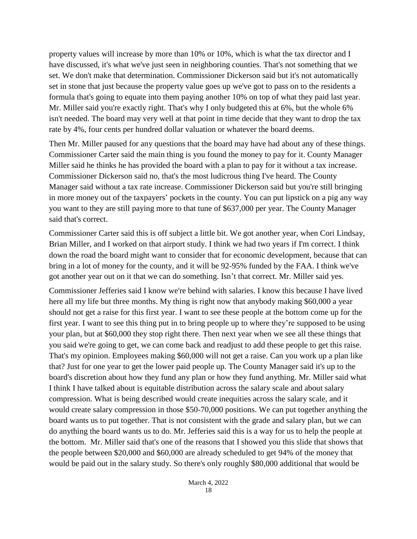property values will increase by more than 10% or 10%, which is what the tax director and I have discussed, it's what we've just seen in neighboring counties. That's not something that we set. We don't make that determination. Commissioner Dickerson said but it's not automatically set in stone that just because the property value goes up we've got to pass on to the residents a formula that's going to equate into them paying another 10% on top of what they paid last year. Mr. Miller said you're exactly right. That's why I only budgeted this at 6%, but the whole 6% isn't needed. The board may very well at that point in time decide that they want to drop the tax rate by 4%, four cents per hundred dollar valuation or whatever the board deems.

Then Mr. Miller paused for any questions that the board may have had about any of these things. Commissioner Carter said the main thing is you found the money to pay for it. County Manager Miller said he thinks he has provided the board with a plan to pay for it without a tax increase. Commissioner Dickerson said no, that's the most ludicrous thing I've heard. The County Manager said without a tax rate increase. Commissioner Dickerson said but you're still bringing in more money out of the taxpayers' pockets in the county. You can put lipstick on a pig any way you want to they are still paying more to that tune of \$637,000 per year. The County Manager said that's correct.

Commissioner Carter said this is off subject a little bit. We got another year, when Cori Lindsay, Brian Miller, and I worked on that airport study. I think we had two years if I'm correct. I think down the road the board might want to consider that for economic development, because that can bring in a lot of money for the county, and it will be 92-95% funded by the FAA. I think we've got another year out on it that we can do something. Isn't that correct. Mr. Miller said yes.

Commissioner Jefferies said I know we're behind with salaries. I know this because I have lived here all my life but three months. My thing is right now that anybody making \$60,000 a year should not get a raise for this first year. I want to see these people at the bottom come up for the first year. I want to see this thing put in to bring people up to where they're supposed to be using your plan, but at \$60,000 they stop right there. Then next year when we see all these things that you said we're going to get, we can come back and readjust to add these people to get this raise. That's my opinion. Employees making \$60,000 will not get a raise. Can you work up a plan like that? Just for one year to get the lower paid people up. The County Manager said it's up to the board's discretion about how they fund any plan or how they fund anything. Mr. Miller said what I think I have talked about is equitable distribution across the salary scale and about salary compression. What is being described would create inequities across the salary scale, and it would create salary compression in those \$50-70,000 positions. We can put together anything the board wants us to put together. That is not consistent with the grade and salary plan, but we can do anything the board wants us to do. Mr. Jefferies said this is a way for us to help the people at the bottom. Mr. Miller said that's one of the reasons that I showed you this slide that shows that the people between \$20,000 and \$60,000 are already scheduled to get 94% of the money that would be paid out in the salary study. So there's only roughly \$80,000 additional that would be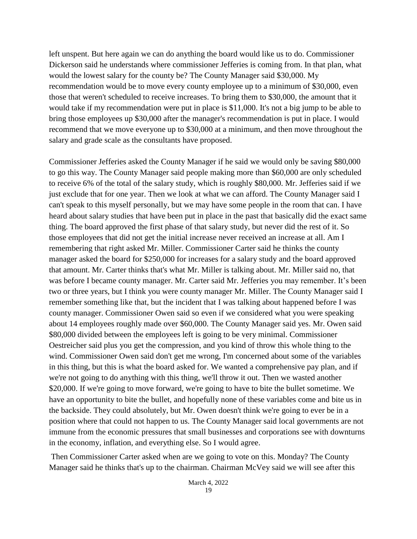left unspent. But here again we can do anything the board would like us to do. Commissioner Dickerson said he understands where commissioner Jefferies is coming from. In that plan, what would the lowest salary for the county be? The County Manager said \$30,000. My recommendation would be to move every county employee up to a minimum of \$30,000, even those that weren't scheduled to receive increases. To bring them to \$30,000, the amount that it would take if my recommendation were put in place is \$11,000. It's not a big jump to be able to bring those employees up \$30,000 after the manager's recommendation is put in place. I would recommend that we move everyone up to \$30,000 at a minimum, and then move throughout the salary and grade scale as the consultants have proposed.

Commissioner Jefferies asked the County Manager if he said we would only be saving \$80,000 to go this way. The County Manager said people making more than \$60,000 are only scheduled to receive 6% of the total of the salary study, which is roughly \$80,000. Mr. Jefferies said if we just exclude that for one year. Then we look at what we can afford. The County Manager said I can't speak to this myself personally, but we may have some people in the room that can. I have heard about salary studies that have been put in place in the past that basically did the exact same thing. The board approved the first phase of that salary study, but never did the rest of it. So those employees that did not get the initial increase never received an increase at all. Am I remembering that right asked Mr. Miller. Commissioner Carter said he thinks the county manager asked the board for \$250,000 for increases for a salary study and the board approved that amount. Mr. Carter thinks that's what Mr. Miller is talking about. Mr. Miller said no, that was before I became county manager. Mr. Carter said Mr. Jefferies you may remember. It's been two or three years, but I think you were county manager Mr. Miller. The County Manager said I remember something like that, but the incident that I was talking about happened before I was county manager. Commissioner Owen said so even if we considered what you were speaking about 14 employees roughly made over \$60,000. The County Manager said yes. Mr. Owen said \$80,000 divided between the employees left is going to be very minimal. Commissioner Oestreicher said plus you get the compression, and you kind of throw this whole thing to the wind. Commissioner Owen said don't get me wrong, I'm concerned about some of the variables in this thing, but this is what the board asked for. We wanted a comprehensive pay plan, and if we're not going to do anything with this thing, we'll throw it out. Then we wasted another \$20,000. If we're going to move forward, we're going to have to bite the bullet sometime. We have an opportunity to bite the bullet, and hopefully none of these variables come and bite us in the backside. They could absolutely, but Mr. Owen doesn't think we're going to ever be in a position where that could not happen to us. The County Manager said local governments are not immune from the economic pressures that small businesses and corporations see with downturns in the economy, inflation, and everything else. So I would agree.

Then Commissioner Carter asked when are we going to vote on this. Monday? The County Manager said he thinks that's up to the chairman. Chairman McVey said we will see after this